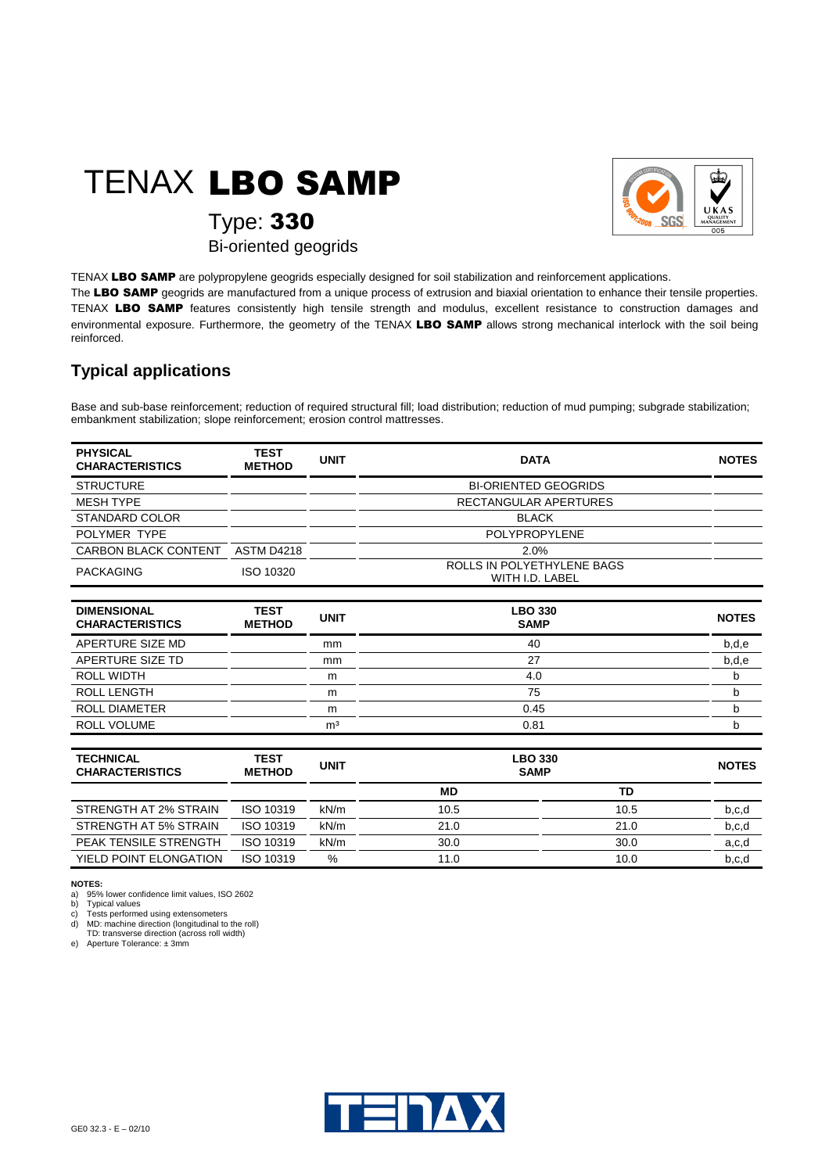## TENAX LBO SAMP



Type: 330

Bi-oriented geogrids

TENAX LBO SAMP are polypropylene geogrids especially designed for soil stabilization and reinforcement applications. The LBO SAMP geogrids are manufactured from a unique process of extrusion and biaxial orientation to enhance their tensile properties. TENAX LBO SAMP features consistently high tensile strength and modulus, excellent resistance to construction damages and environmental exposure. Furthermore, the geometry of the TENAX LBO SAMP allows strong mechanical interlock with the soil being

## **Typical applications**

reinforced.

Base and sub-base reinforcement; reduction of required structural fill; load distribution; reduction of mud pumping; subgrade stabilization; embankment stabilization; slope reinforcement; erosion control mattresses.

| <b>TEST</b><br><b>METHOD</b> | <b>UNIT</b>                 | <b>DATA</b>                                   | <b>NOTES</b> |  |
|------------------------------|-----------------------------|-----------------------------------------------|--------------|--|
|                              | <b>BI-ORIENTED GEOGRIDS</b> |                                               |              |  |
|                              | RECTANGULAR APERTURES       |                                               |              |  |
|                              | <b>BLACK</b>                |                                               |              |  |
|                              |                             | <b>POLYPROPYLENE</b>                          |              |  |
| <b>ASTM D4218</b>            |                             | 2.0%                                          |              |  |
| ISO 10320                    |                             | ROLLS IN POLYETHYLENE BAGS<br>WITH I.D. LABEL |              |  |
|                              |                             |                                               |              |  |

| <b>DIMENSIONAL</b><br><b>CHARACTERISTICS</b> | <b>TEST</b><br><b>METHOD</b> | <b>UNIT</b> | <b>LBO 330</b><br><b>SAMP</b> | <b>NOTES</b> |
|----------------------------------------------|------------------------------|-------------|-------------------------------|--------------|
| APERTURE SIZE MD                             |                              | mm          | 40                            | b,d,e        |
| APERTURE SIZE TD                             | mm                           |             | 27                            | b,d,e        |
| <b>ROLL WIDTH</b>                            | m                            |             | 4.0                           | b            |
| <b>ROLL LENGTH</b>                           | m                            |             | 75                            |              |
| <b>ROLL DIAMETER</b>                         | m                            |             | 0.45                          | b            |
| ROLL VOLUME                                  | m <sup>3</sup>               |             | 0.81                          |              |

| <b>TECHNICAL</b><br><b>CHARACTERISTICS</b> | <b>TEST</b><br><b>METHOD</b> | <b>UNIT</b> | <b>LBO 330</b><br><b>SAMP</b> | <b>NOTES</b> |       |
|--------------------------------------------|------------------------------|-------------|-------------------------------|--------------|-------|
|                                            |                              |             | MD                            | TD           |       |
| STRENGTH AT 2% STRAIN                      | ISO 10319                    | kN/m        | 10.5                          | 10.5         | b,c,d |
| STRENGTH AT 5% STRAIN                      | ISO 10319                    | kN/m        | 21.0                          | 21.0         | b,c,d |
| PEAK TENSILE STRENGTH                      | ISO 10319                    | kN/m        | 30.0                          | 30.0         | a,c,d |
| YIELD POINT ELONGATION                     | ISO 10319                    | %           | 11.0                          | 10.0         | b.c.d |

## **NOTES:**

a) 95% lower confidence limit values, ISO 2602 b) Typical values

c) Tests performed using extensometers d) MD: machine direction (longitudinal to the roll)

TD: transverse direction (across roll width) e) Aperture Tolerance: ± 3mm